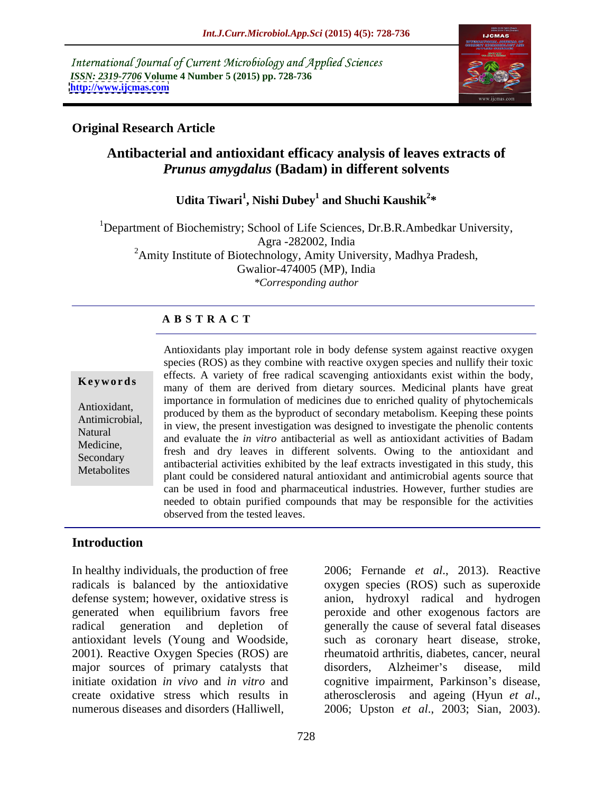International Journal of Current Microbiology and Applied Sciences *ISSN: 2319-7706* **Volume 4 Number 5 (2015) pp. 728-736 <http://www.ijcmas.com>**



## **Original Research Article**

# **Antibacterial and antioxidant efficacy analysis of leaves extracts of**  *Prunus amygdalus* **(Badam) in different solvents**

**Udita Tiwari<sup>1</sup> , Nishi Dubey<sup>1</sup> and Shuchi Kaushik<sup>2</sup> \***

<sup>1</sup>Department of Biochemistry; School of Life Sciences, Dr.B.R.Ambedkar University, Agra -282002, India <sup>2</sup>Amity Institute of Biotechnology, Amity University, Madhya Pradesh, Gwalior-474005 (MP), India *\*Corresponding author*

### **A B S T R A C T**

**Metabolites** 

Antioxidants play important role in body defense system against reactive oxygen species (ROS) as they combine with reactive oxygen species and nullify their toxic effects. A variety of free radical scavenging antioxidants exist within the body, **Keywords** many of them are derived from dietary sources. Medicinal plants have great importance in formulation of medicines due to enriched quality of phytochemicals Antioxidant,<br>Antioxidant, produced by them as the byproduct of secondary metabolism. Keeping these points Antimicrobial, in view, the present investigation was designed to investigate the phenolic contents Natural and evaluate the *in vitro* antibacterial as well as antioxidant activities of Badam Medicine Medicine,<br>
fresh and dry leaves in different solvents. Owing to the antioxidant and<br>
Secondary Secondary<br>Metholitec antibacterial activities exhibited by the leaf extracts investigated in this study, this plant could be considered natural antioxidant and antimicrobial agents source that can be used in food and pharmaceutical industries. However, further studies are needed to obtain purified compounds that may be responsible for the activities observed from the tested leaves.

## **Introduction**

In healthy individuals, the production of free 2006; Fernande *et al*., 2013). Reactive radicals is balanced by the antioxidative oxygen species (ROS) such as superoxide defense system; however, oxidative stress is anion, hydroxyl radical and hydrogen generated when equilibrium favors free peroxide and other exogenous factors are radical generation and depletion of generally the cause of several fatal diseases antioxidant levels (Young and Woodside, such as coronary heart disease, stroke, 2001). Reactive Oxygen Species (ROS) are major sources of primary catalysts that disorders, Alzheimer's disease, mild initiate oxidation *in vivo* and *in vitro* and cognitive impairment, Parkinson's disease, create oxidative stress which results in atherosclerosis and ageing (Hyun et al., numerous diseases and disorders (Halliwell, 2006; Upston *et al.*, 2003; Sian, 2003).

rheumatoid arthritis, diabetes, cancer, neural disorders, Alzheimer's disease, mild atherosclerosis and ageing (Hyun *et al*., 2006; Upston *et al*., 2003; Sian, 2003).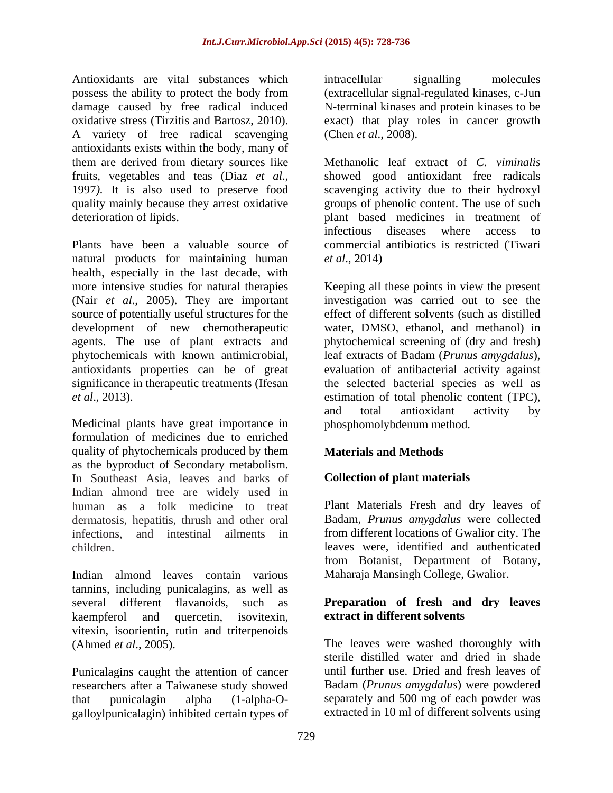Antioxidants are vital substances which intracellular signalling molecules possess the ability to protect the body from (extracellular signal-regulated kinases, c-Jun damage caused by free radical induced N-terminal kinases and protein kinases to be oxidative stress (Tirzitis and Bartosz, 2010). exact) that play roles in cancer growth A variety of free radical scavenging antioxidants exists within the body, many of

natural products for maintaining human *et al.*, 2014) health, especially in the last decade, with more intensive studies for natural therapies Keeping all these points in view the present (Nair *et al*., 2005). They are important source of potentially useful structures for the development of new chemotherapeutic agents. The use of plant extracts and phytochemical screening of (dry and fresh) phytochemicals with known antimicrobial, leaf extracts of Badam (*Prunus amygdalus*), antioxidants properties can be of great evaluation of antibacterial activity against significance in therapeutic treatments (Ifesan the selected bacterial species as well as *et al*., 2013). estimation of total phenolic content (TPC),

Medicinal plants have great importance in formulation of medicines due to enriched quality of phytochemicals produced by them as the byproduct of Secondary metabolism. In Southeast Asia, leaves and barks of Indian almond tree are widely used in human as a folk medicine to treat Plant Materials Fresh and dry leaves of dermatosis, hepatitis, thrush and other oral infections, and intestinal ailments in

Indian almond leaves contain various tannins, including punicalagins, as well as several different flavanoids, such as **Preparation of fresh and dry leaves** kaempferol and quercetin, isovitexin, **extract in different solvents** vitexin, isoorientin, rutin and triterpenoids

Punicalagins caught the attention of cancer researchers after a Taiwanese study showed galloylpunicalagin) inhibited certain types of

intracellular signalling molecules (Chen *et al*., 2008).

them are derived from dietary sources like Methanolic leaf extract of *C. viminalis* fruits, vegetables and teas (Diaz *et al*., 1997*).* It is also used to preserve food quality mainly because they arrest oxidative groups of phenolic content. The use of such deterioration of lipids. plant based medicines in treatment of Plants have been a valuable source of commercial antibiotics is restricted (Tiwari showed good antioxidant free radicals scavenging activity due to their hydroxyl infectious diseases where access to *et al*., 2014)

> investigation was carried out to see the effect of different solvents (such as distilled water, DMSO, ethanol, and methanol) in and total antioxidant activity by phosphomolybdenum method.

## **Materials and Methods**

## **Collection of plant materials**

children. leaves were, identified and authenticated Badam, *Prunus amygdalus* were collected from different locations of Gwalior city. The from Botanist, Department of Botany, Maharaja Mansingh College, Gwalior.

# **extract in different solvents**

(Ahmed *et al*., 2005). The leaves were washed thoroughly with that punicalagin alpha (1-alpha-O- separately and 500 mg of each powder was sterile distilled water and dried in shade until further use. Dried and fresh leaves of Badam (*Prunus amygdalus*) were powdered extracted in 10 ml of different solvents using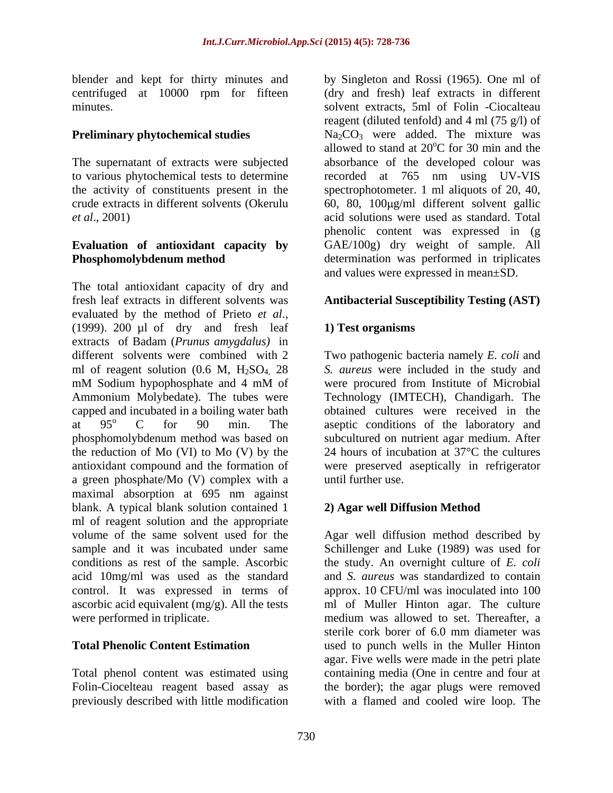blender and kept for thirty minutes and centrifuged at 10000 rpm for fifteen

The supernatant of extracts were subjected

# **Evaluation of antioxidant capacity by**

The total antioxidant capacity of dry and fresh leaf extracts in different solvents was **Antibacterial Susceptibility Testing (AST)** evaluated by the method of Prieto *et al*.,<br>(1999). 200 µl of dry and fresh leaf 1) **Test organisms** extracts of Badam (*Prunus amygdalus)* in different solvents were combined with 2 Two pathogenic bacteria namely *E. coli* and ml of reagent solution (0.6 M, H2SO4, 28 *S. aureus* were included in the study and mM Sodium hypophosphate and 4 mM of were procured from Institute of Microbial Ammonium Molybedate). The tubes were Technology (IMTECH), Chandigarh. The capped and incubated in a boiling water bath obtained cultures were received in the at  $95^\circ$  C for  $90$  min. The aseptic conditions of the laboratory and phosphomolybdenum method was based on the reduction of Mo (VI) to Mo (V) by the 24 hours of incubation at 37°C the cultures antioxidant compound and the formation of were preserved aseptically in refrigerator a green phosphate/Mo (V) complex with a maximal absorption at 695 nm against blank. A typical blank solution contained 1 ml of reagent solution and the appropriate volume of the same solvent used for the Agar well diffusion method described by sample and it was incubated under same Schillenger and Luke (1989) was used for conditions as rest of the sample. Ascorbic the study. An overnight culture of *E. coli* acid 10mg/ml was used as the standard control. It was expressed in terms of approx. 10 CFU/ml was inoculated into 100 ascorbic acid equivalent (mg/g). All the tests ml of Muller Hinton agar. The culture were performed in triplicate. medium was allowed to set. Thereafter, a

Total phenol content was estimated using previously described with little modification with a flamed and cooled wire loop. The

minutes. solvent extracts, 5ml of Folin -Ciocalteau **Preliminary phytochemical studies Na<sub>2</sub>CO<sub>3</sub> were added. The mixture was** to various phytochemical tests to determine recorded at 765 nm using UV-VIS the activity of constituents present in the spectrophotometer. 1 ml aliquots of 20, 40, crude extracts in different solvents (Okerulu 60, 80, 100µg/ml different solvent gallic *et al*., 2001) acid solutions were used as standard. Total **Phosphomolybdenum method** determination was performed in triplicates by Singleton and Rossi (1965). One ml of (dry and fresh) leaf extracts in different reagent (diluted tenfold) and 4 ml (75 g/l) of allowed to stand at  $20^{\circ}$ C for 30 min and the oC for 30 min and the absorbance of the developed colour was phenolic content was expressed in (g GAE/100g) dry weight of sample. All and values were expressed in mean±SD.

## **1) Test organisms**

were procured from Institute of Microbial subcultured on nutrient agar medium. After until further use.

## **2) Agar well Diffusion Method**

**Total Phenolic Content Estimation**  used to punch wells in the Muller Hinton Folin-Ciocelteau reagent based assay as the border); the agar plugs were removed and *S. aureus* was standardized to contain sterile cork borer of 6.0 mm diameter was agar. Five wells were made in the petri plate containing media (One in centre and four at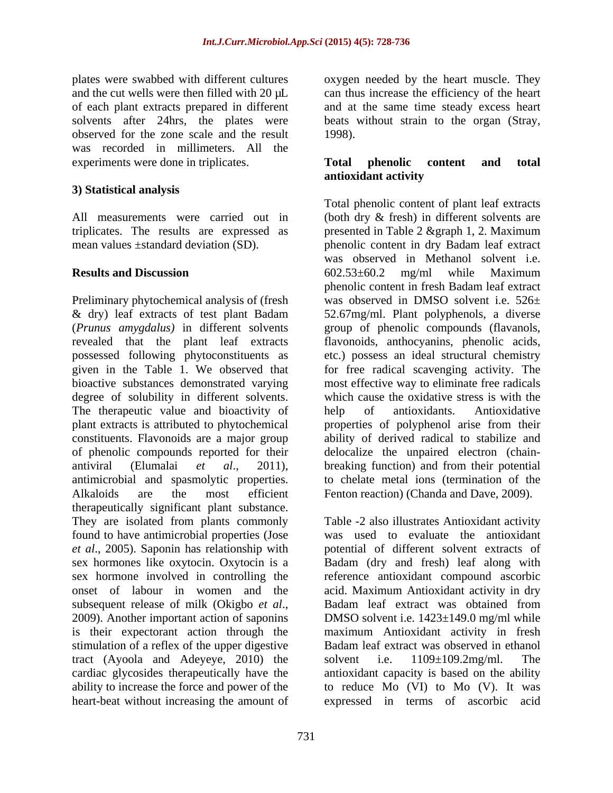plates were swabbed with different cultures oxygen needed by the heart muscle. They and the cut wells were then filled with  $20 \mu L$  can thus increase the efficiency of the heart of each plant extracts prepared in different solvents after 24hrs, the plates were beats without strain to the organ (Stray, observed for the zone scale and the result was recorded in millimeters. All the experiments were done in triplicates. Total phenolic content and total

## **3) Statistical analysis**

Preliminary phytochemical analysis of (fresh degree of solubility in different solvents. The therapeutic value and bioactivity of help of antioxidants. Antioxidative of phenolic compounds reported for their therapeutically significant plant substance. They are isolated from plants commonly found to have antimicrobial properties (Jose stimulation of a reflex of the upper digestive tract (Ayoola and Adeyeye, 2010) the solvent i.e. 1109±109.2mg/ml. The heart-beat without increasing the amount of

and at the same time steady excess heart 1998).

## **Total phenolic content and total antioxidant activity**

All measurements were carried out in (both dry & fresh) in different solvents are triplicates. The results are expressed as presented in Table 2 &graph 1, 2. Maximum mean values ±standard deviation (SD). phenolic content in dry Badam leaf extract **Results and Discussion** 602.53±60.2 mg/ml while Maximum & dry) leaf extracts of test plant Badam 52.67mg/ml. Plant polyphenols, a diverse (*Prunus amygdalus)* in different solvents group of phenolic compounds (flavanols, revealed that the plant leaf extracts flavonoids, anthocyanins, phenolic acids, possessed following phytoconstituents as etc.) possess an ideal structural chemistry given in the Table 1. We observed that for free radical scavenging activity. The bioactive substances demonstrated varying most effective way to eliminate free radicals plant extracts is attributed to phytochemical properties of polyphenol arise from their constituents. Flavonoids are a major group ability of derived radical to stabilize and antiviral (Elumalai *et al*., 2011), breaking function) and from their potential antimicrobial and spasmolytic properties. to chelate metal ions (termination of the Alkaloids are the most efficient Fenton reaction) (Chanda and Dave, 2009). Total phenolic content of plant leaf extracts was observed in Methanol solvent i.e. 602.53±60.2 mg/ml while Maximum phenolic content in fresh Badam leaf extract was observed in DMSO solvent i.e. 526 $\pm$ which cause the oxidative stress is with the help of antioxidants. Antioxidative delocalize the unpaired electron (chain-

*et al*., 2005). Saponin has relationship with potential of different solvent extracts of sex hormones like oxytocin. Oxytocin is a Badam (dry and fresh) leaf along with sex hormone involved in controlling the reference antioxidant compound ascorbic onset of labour in women and the acid. Maximum Antioxidant activity in dry subsequent release of milk (Okigbo *et al.*,<br>2009). Another important action of saponins DMSO solvent i.e. 1423±149.0 mg/ml while is their expectorant action through the maximum Antioxidant activity in fresh cardiac glycosides therapeutically have the antioxidant capacity is based on the ability ability to increase the force and power of the to reduce Mo (VI) to Mo (V). It was Table -2 also illustrates Antioxidant activity was used to evaluate the antioxidant Badam leaf extract was obtained from DMSO solvent i.e. 1423±149.0 mg/ml while Badam leaf extract was observed in ethanol solvent i.e.  $1109 \pm 109.2$  mg/ml. The expressed in terms of ascorbic acid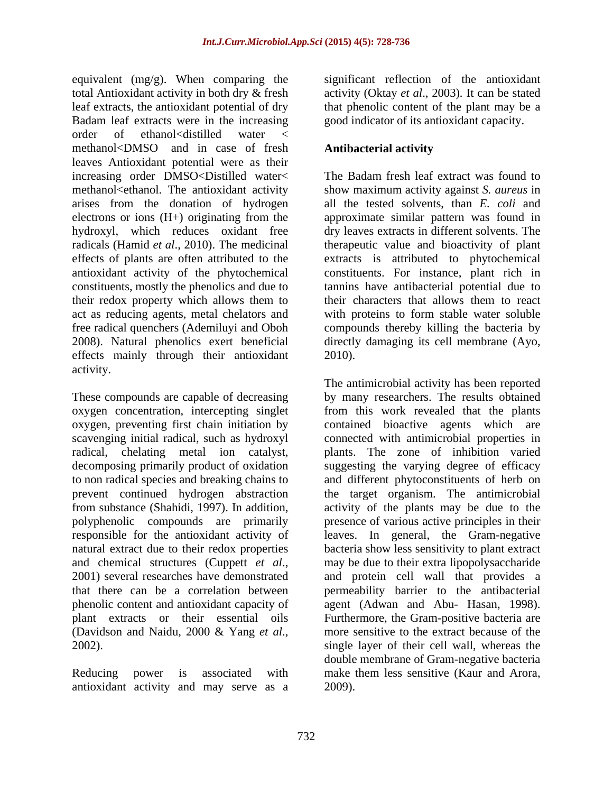equivalent (mg/g). When comparing the total Antioxidant activity in both dry & fresh activity (Oktay *et al*., 2003)*.* It can be stated leaf extracts, the antioxidant potential of dry Badam leaf extracts were in the increasing order of ethanol<distilled water < methanol<DMSO) and in case of fresh leaves Antioxidant potential were as their increasing order DMSO<Distilled water< The Badam fresh leaf extract was found to methanol<ethanol. The antioxidant activity show maximum activity against *S. aureus* in arises from the donation of hydrogen electrons or ions (H+) originating from the approximate similar pattern was found in hydroxyl, which reduces oxidant free dry leaves extracts in different solvents. The radicals (Hamid *et al*., 2010). The medicinal therapeutic value and bioactivity of plant effects of plants are often attributed to the extracts is attributed to phytochemical antioxidant activity of the phytochemical constituents, mostly the phenolics and due to tannins have antibacterial potential due to their redox property which allows them to act as reducing agents, metal chelators and free radical quenchers (Ademiluyi and Oboh 2008). Natural phenolics exert beneficial directly damaging its cell membrane (Ayo, effects mainly through their antioxidant 2010). activity.

oxygen concentration, intercepting singlet natural extract due to their redox properties

antioxidant activity and may serve as a

significant reflection of the antioxidant that phenolic content of the plant may be a good indicator of its antioxidant capacity.

# **Antibacterial activity**

The Badam fresh leaf extract was found to all the tested solvents, than *E. coli* and constituents. For instance, plant rich in their characters that allows them to react with proteins to form stable water soluble compounds thereby killing the bacteria by 2010).

These compounds are capable of decreasing by many researchers. The results obtained oxygen, preventing first chain initiation by contained bioactive agents which are scavenging initial radical, such as hydroxyl connected with antimicrobial properties in radical, chelating metal ion catalyst, plants. The zone of inhibition varied decomposing primarily product of oxidation suggesting the varying degree of efficacy to non radical species and breaking chains to and different phytoconstituents of herb on prevent continued hydrogen abstraction the target organism. The antimicrobial from substance (Shahidi, 1997). In addition, activity of the plants may be due to the polyphenolic compounds are primarily presence of various active principles in their responsible for the antioxidant activity of leaves. In general, the Gram-negative and chemical structures (Cuppett *et al.*, may be due to their extra lipopolysaccharide 2001) several researches have demonstrated and protein cell wall that provides a that there can be a correlation between permeability barrier to the antibacterial phenolic content and antioxidant capacity of agent (Adwan and Abu- Hasan, 1998). plant extracts or their essential oils Furthermore, the Gram-positive bacteria are (Davidson and Naidu, 2000 & Yang *et al.*, more sensitive to the extract because of the 2002).<br>2002). Reducing power is associated with make them less sensitive (Kaur and Arora, The antimicrobial activity has been reported from this work revealed that the plants bacteria show less sensitivity to plant extract may be due to their extra lipopolysaccharide and protein cell wall that provides a more sensitive to the extract because of the single layer of their cell wall, whereas the double membrane of Gram-negative bacteria 2009).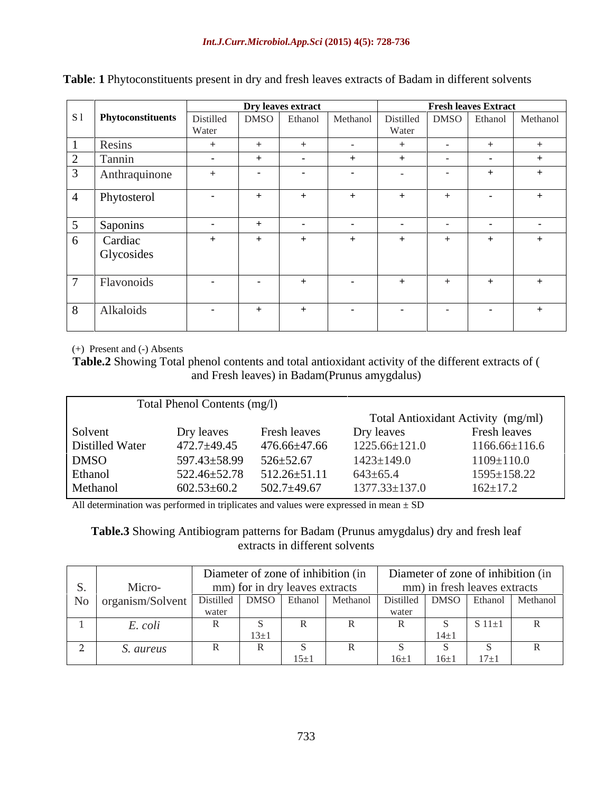|                                                                                         |               |        | Dry leaves extract |        |        |            | <b>Fresh leaves Extract</b> |  |
|-----------------------------------------------------------------------------------------|---------------|--------|--------------------|--------|--------|------------|-----------------------------|--|
| Phytoconstituents Distilled DMSO Ethanol Methanol Distilled DMSO Ethanol Methanol Water |               |        |                    |        |        |            |                             |  |
|                                                                                         |               |        |                    |        |        |            |                             |  |
| Resins                                                                                  |               |        |                    | $\sim$ |        |            |                             |  |
| $2$ Tannin                                                                              |               |        |                    |        |        |            |                             |  |
| Anthraquinone                                                                           |               | $\sim$ | $\sim$             |        |        | $\sim$ $-$ |                             |  |
| Phytosterol                                                                             |               |        |                    |        |        |            |                             |  |
| Saponins                                                                                | $\sim$ $\sim$ |        |                    |        | $\sim$ | $\sim$     |                             |  |
| Cardiac<br>Glycosides                                                                   |               |        | $^{+}$             |        | $+$    |            |                             |  |
| Flavonoids                                                                              |               |        |                    |        |        |            |                             |  |
| Alkaloids                                                                               | $\sim$        |        | $+$                | $\sim$ | $\sim$ | $\sim$     |                             |  |

|  | <b>Table:</b> 1 Phytoconstituents present in dry and fresh leaves extracts of Badam in different s<br>it solvents |  |  |  |
|--|-------------------------------------------------------------------------------------------------------------------|--|--|--|
|--|-------------------------------------------------------------------------------------------------------------------|--|--|--|

(+) Present and (-) Absents

**Table.2** Showing Total phenol contents and total antioxidant activity of the different extracts of ( and Fresh leaves) in Badam(Prunus amygdalus)

|                 | Total Phenol Contents (mg/l) |                    |                     |                                    |
|-----------------|------------------------------|--------------------|---------------------|------------------------------------|
|                 |                              |                    |                     | Total Antioxidant Activity (mg/ml) |
| Solvent         | Dry leaves                   | Fresh leaves       | Dry leaves          | Fresh leaves                       |
| Distilled Water | $472.7 + 49.45$              | 476.66±47.66       | $1225.66 \pm 121.0$ | $1166.66 \pm 116.6$                |
| <b>DMSO</b>     | 597.43±58.99                 | $526 \pm 52.67$    | $1423 \pm 149.0$    | $1109 \pm 110.0$                   |
| Ethanol         | 522.46±52.78                 | $512.26 \pm 51.11$ | $643 \pm 65.4$      | $1595 \pm 158.22$                  |
| Methanol        | $602.53 \pm 60.2$            | $502.7 \pm 49.67$  | $1377.33 \pm 137.0$ | $162 \pm 17.2$                     |

All determination was performed in triplicates and values were expressed in mean ± SD

**Table.3** Showing Antibiogram patterns for Badam (Prunus amygdalus) dry and fresh leaf extracts in different solvents

|                            |  |  | Diameter of zone of inhibition (in |       |        |                              | Diameter of zone of inhibition (in |
|----------------------------|--|--|------------------------------------|-------|--------|------------------------------|------------------------------------|
| Micro-                     |  |  | mm) for in dry leaves extracts     |       |        | mm) in fresh leaves extracts |                                    |
| No organism/Solvent Distil |  |  | Ethanol Methanol                   |       |        |                              | 1 Distilled DMSO Ethanol Methanol  |
|                            |  |  |                                    | water |        |                              |                                    |
| $\therefore$ coll          |  |  |                                    |       |        |                              |                                    |
|                            |  |  |                                    |       |        |                              |                                    |
| S. aureus                  |  |  |                                    |       |        |                              |                                    |
|                            |  |  |                                    |       | $16+1$ |                              |                                    |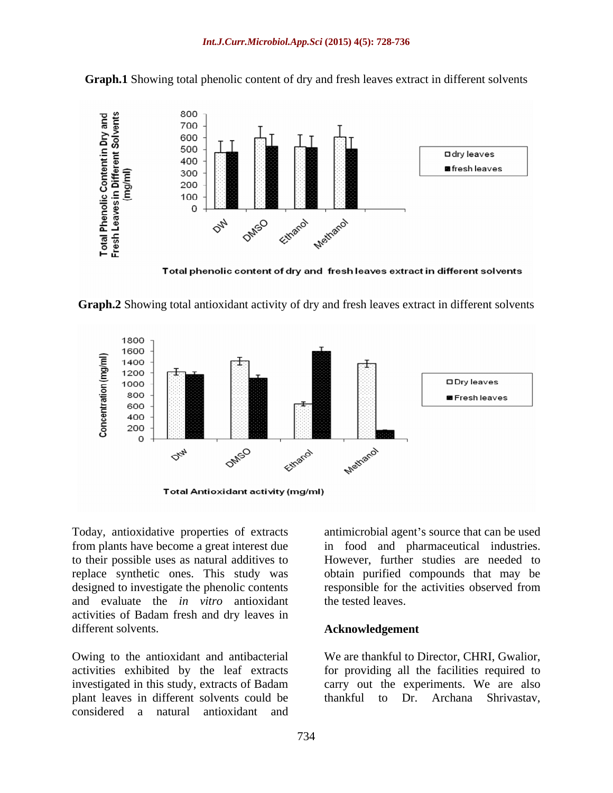

**Graph.1** Showing total phenolic content of dry and fresh leaves extract in different solvents

Total phenolic content of dry and fresh leaves extract in different solvents





**Total Antioxidant activity (mg/ml)** 

Today, antioxidative properties of extracts antimicrobial agent's source that can be used from plants have become a great interest due in food and pharmaceutical industries. to their possible uses as natural additives to However, further studies are needed to replace synthetic ones. This study was obtain purified compounds that may be designed to investigate the phenolic contents responsible for the activities observed from and evaluate the *in vitro* antioxidant activities of Badam fresh and dry leaves in different solvents. **Acknowledgement**

Owing to the antioxidant and antibacterial We are thankful to Director, CHRI, Gwalior, activities exhibited by the leaf extracts for providing all the facilities required to investigated in this study, extracts of Badam plant leaves in different solvents could be thankful to Dr. Archana Shrivastav, considered a natural antioxidant and

the tested leaves.

carry out the experiments. We are also thankful to Dr. Archana Shrivastav,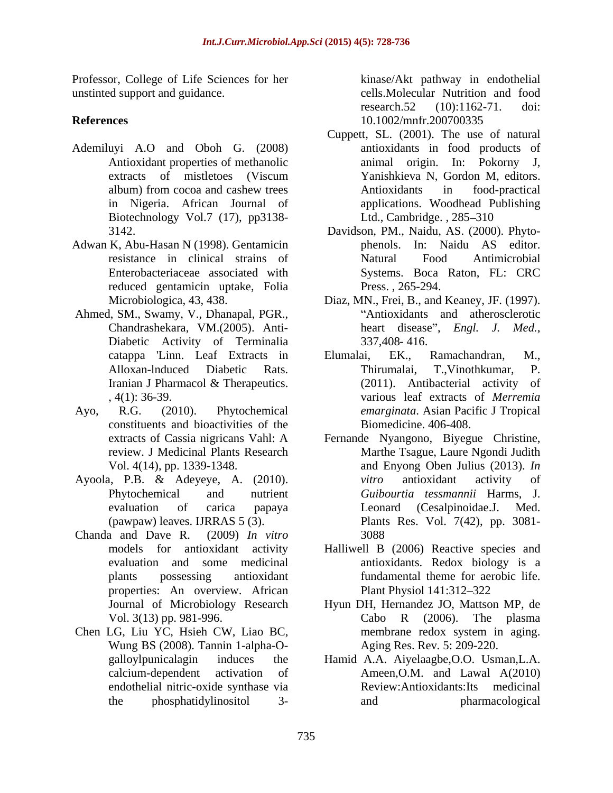Professor, College of Life Sciences for her unstinted support and guidance. cells.Molecular Nutrition and food

- Ademiluyi A.O and Oboh G. (2008) Biotechnology Vol.7 (17), pp3138-
- Adwan K, Abu-Hasan N (1998). Gentamicin reduced gentamicin uptake, Folia
- Ahmed, SM., Swamy, V., Dhanapal, PGR., Diabetic Activity of Terminalia 337,408-416.
- constituents and bioactivities of the
- 
- Chanda and Dave R. (2009) *In vitro* properties: An overview. African
- Chen LG, Liu YC, Hsieh CW, Liao BC,<br>Wung BS (2008). Tannin 1-alpha-O-<br>Aging Res. Rev. 5: 209-220. endothelial nitric-oxide synthase via

**References** 10.1002/mnfr.200700335 kinase/Akt pathway in endothelial research.52 (10):1162-71. doi: 10.1002/mnfr.200700335

- Antioxidant properties of methanolic animal origin. In: Pokorny J, extracts of mistletoes (Viscum album) from cocoa and cashew trees in Nigeria. African Journal of applications. Woodhead Publishing Cuppett, SL. (2001). The use of natural antioxidants in food products of Yanishkieva N, Gordon M, editors. Antioxidants in food-practical Ltd., Cambridge., 285-310
- 3142. Davidson, PM., Naidu, AS. (2000). Phyto resistance in clinical strains of Enterobacteriaceae associated with Systems. Boca Raton, FL: CRC phenols. In: Naidu AS editor. Natural Food Antimicrobial Press. , 265-294.
- Microbiologica, 43, 438. Diaz, MN., Frei, B., and Keaney, JF. (1997). Chandrashekara, VM.(2005). Anti-<br>heart disease", Engl. J. Med., Antioxidants and atherosclerotic heart disease", *Engl. J. Med.*, 337,408-416.
- catappa 'Linn. Leaf Extracts in Elumalai, EK., Ramachandran, M., Alloxan-lnduced Diabetic Rats. Iranian J Pharmacol & Therapeutics. (2011). Antibacterial activity of , 4(1): 36-39. various leaf extracts of *Merremia*  Ayo, R.G. (2010). Phytochemical *emarginata*. Asian Pacific J Tropical Elumalai, EK., Ramachandran, M.,<br>Thirumalai, T.,Vinothkumar, P. (2011). Antibacterial activity of Biomedicine. 406-408.
- extracts of Cassia nigricans Vahl: A Fernande Nyangono, Biyegue Christine, review. J Medicinal Plants Research Marthe Tsague,Laure Ngondi Judith Vol. 4(14), pp. 1339-1348. and Enyong Oben Julius (2013). *In*  Ayoola, P.B. & Adeyeye, A. (2010). Phytochemical and nutrient *Guibourtia tessmannii* Harms, J. evaluation of carica papaya Leonard (Cesalpinoidae.J. Med. (pawpaw) leaves. IJRRAS 5 (3). Plants Res. Vol. 7(42), pp. 3081 *vitro* antioxidant activity of Leonard (Cesalpinoidae.J. Med. 3088
	- models for antioxidant activity Halliwell B (2006) Reactive species and evaluation and some medicinal antioxidants. Redox biology is a plants possessing antioxidant fundamental theme for aerobic life. Plant Physiol 141:312–322
- Journal of Microbiology Research Hyun DH, Hernandez JO, Mattson MP, de Vol. 3(13) pp. 981-996. Cabo R (2006). The plasma<br>Chen LG, Liu YC, Hsieh CW, Liao BC, membrane redox system in aging. Cabo R (2006). The plasma membrane redox system in aging. Aging Res. Rev*.* 5: 209-220.
	- galloylpunicalagin induces the Hamid A.A. Aiyelaagbe,O.O. Usman,L.A. calcium-dependent activation of Ameen,O.M. and Lawal A(2010) the phosphatidylinositol 3- Review:Antioxidants:Its medicinal and pharmacological